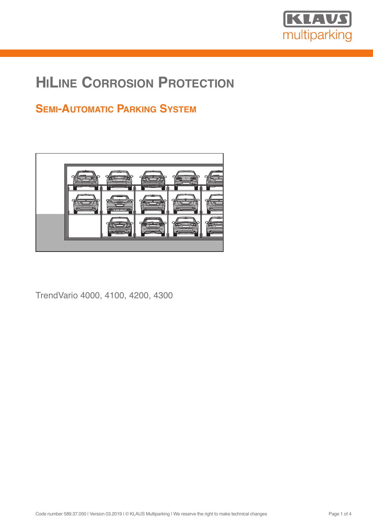

# **HILINE CORROSION PROTECTION**

# **SEMI-AUTOMATIC PARKING SYSTEM**



TrendVario 4000, 4100, 4200, 4300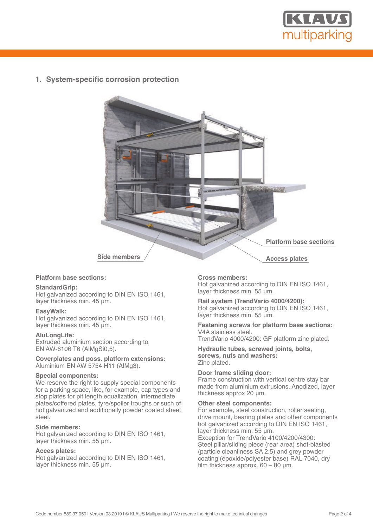

**1. System-specific corrosion protection**



#### **Platform base sections:**

#### **StandardGrip:**

Hot galvanized according to DIN EN ISO 1461, layer thickness min. 45 µm.

#### **EasyWalk:**

Hot galvanized according to DIN EN ISO 1461, layer thickness min. 45 um.

#### **AluLongLife:**

Extruded aluminium section according to EN AW-6106 T6 (AlMgSi0,5).

**Coverplates and poss. platform extensions:** Aluminium EN AW 5754 H11 (AlMg3).

#### **Special components:**

We reserve the right to supply special components for a parking space, like, for example, cap types and stop plates for pit length equalization, intermediate plates/coffered plates, tyre/spoiler troughs or such of hot galvanized and additionally powder coated sheet steel.

#### **Side members:**

Hot galvanized according to DIN EN ISO 1461, layer thickness min. 55 µm.

#### **Acces plates:**

Hot galvanized according to DIN EN ISO 1461, layer thickness min. 55 µm.

#### **Cross members:**

Hot galvanized according to DIN EN ISO 1461, layer thickness min. 55 µm.

**Rail system (TrendVario 4000/4200):** Hot galvanized according to DIN EN ISO 1461, layer thickness min. 55 µm.

**Fastening screws for platform base sections:** V4A stainless steel. TrendVario 4000/4200: GF platform zinc plated.

**Hydraulic tubes, screwed joints, bolts, screws, nuts and washers:** Zinc plated.

#### **Door frame sliding door:**

Frame construction with vertical centre stay bar made from aluminium extrusions. Anodized, layer thickness approx 20 µm.

#### **Other steel components:**

For example, steel construction, roller seating, drive mount, bearing plates and other components hot galvanized according to DIN EN ISO 1461, layer thickness min. 55 µm.

Exception for TrendVario 4100/4200/4300: Steel pillar/sliding piece (rear area) shot-blasted (particle cleanliness SA 2.5) and grey powder coating (epoxide/polyester base) RAL 7040, dry film thickness approx.  $60 - 80$  µm.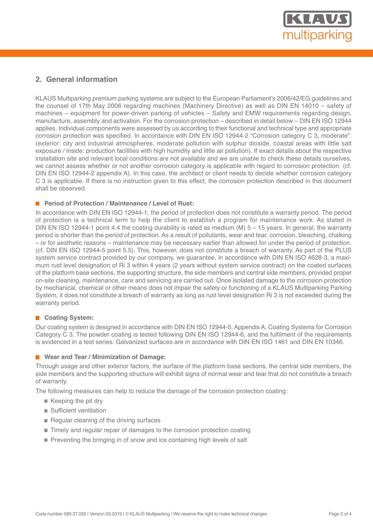

# **2. General information**

KLAUS Multiparking premium parking systems are subject to the European Parliament's 2006/42/EG guidelines and the counsel of 17th May 2006 regarding machines (Machinery Directive) as well as DIN EN 14010 – safety of machines – equipment for power-driven parking of vehicles – Safety and EMW requirements regarding design, manufacture, assembly and activation. For the corrosion protection – described in detail below – DIN EN ISO 12944 applies. Individual components were assessed by us according to their functional and technical type and appropriate corrosion protection was specified. In accordance with DIN EN ISO 12944-2 "Corrosion category C 3, moderate". (exterior: city and industrial atmospheres, moderate pollution with sulphur dioxide, coastal areas with little salt exposure / inside: production facilities with high humidity and little air pollution). If exact details about the respective installation site and relevant local conditions are not available and we are unable to check these details ourselves, we cannot assess whether or not another corrosion category is applicable with regard to corrosion protection. (cf. DIN EN ISO 12944-2 appendix A). In this case, the architect or client needs to decide whether corrosion category C 3 is applicable. If there is no instruction given to this effect, the corrosion protection described in this document shall be observed.

## **Period of Protection / Maintenance / Level of Rust:**

In accordance with DIN EN ISO 12944-1, the period of protection does not constitute a warranty period. The period of protection is a technical term to help the client to establish a program for maintenance work. As stated in DIN EN ISO 12944-1 point 4.4 the coating durability is rated as medium (M)  $5 - 15$  years. In general, the warranty period is shorter than the period of protection. As a result of pollutants, wear and tear, corrosion, bleaching, chalking – or for aesthetic reasons – maintenance may be necessary earlier than allowed for under the period of protection. (cf. DIN EN ISO 12944-5 point 5.5). This, however, does not constitute a breach of warranty. As part of the PLUS system service contract provided by our company, we guarantee, in accordance with DIN EN ISO 4628-3, a maximum rust level designation of Ri 3 within 4 years (2 years without system service contract) on the coated surfaces of the platform base sections, the supporting structure, the side members and central side members, provided proper on-site cleaning, maintenance, care and servicing are carried out. Once isolated damage to the corrosion protection by mechanical, chemical or other means does not impair the safety or functioning of a KLAUS Multiparking Parking System, it does not constitute a breach of warranty as long as rust level designation Ri 3 is not exceeded during the warranty period.

## **Coating System:**

Our coating system is designed in accordance with DIN EN ISO 12944-5, Appendix A, Coating Systems for Corrosion Category C 3. The powder coating is tested following DIN EN ISO 12944-6, and the fulfilment of the requirements is evidenced in a test series. Galvanized surfaces are in accordance with DIN EN ISO 1461 and DIN EN 10346.

#### **Wear and Tear / Minimization of Damage:**

Through usage and other exterior factors, the surface of the platform base sections, the central side members, the side members and the supporting structure will exhibit signs of normal wear and tear that do not constitute a breach of warranty.

The following measures can help to reduce the damage of the corrosion protection coating:

- Keeping the pit dry
- Sufficient ventilation
- $\blacksquare$  Regular cleaning of the driving surfaces
- Timely and regular repair of damages to the corrosion protection coating
- **Preventing the bringing in of snow and ice containing high levels of salt**